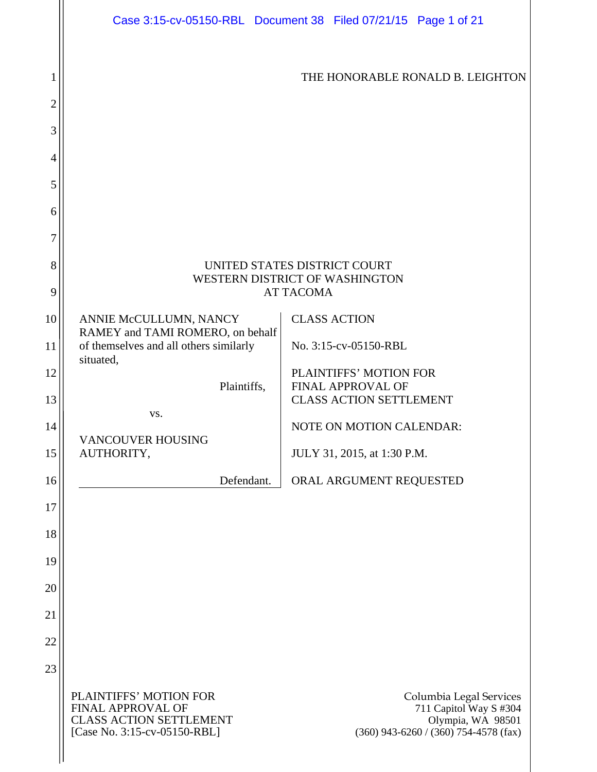|                     |                                                                                                               | Case 3:15-cv-05150-RBL Document 38 Filed 07/21/15 Page 1 of 21                                                    |
|---------------------|---------------------------------------------------------------------------------------------------------------|-------------------------------------------------------------------------------------------------------------------|
| 1<br>$\overline{2}$ |                                                                                                               | THE HONORABLE RONALD B. LEIGHTON                                                                                  |
| 3                   |                                                                                                               |                                                                                                                   |
| 4                   |                                                                                                               |                                                                                                                   |
| 5                   |                                                                                                               |                                                                                                                   |
| 6                   |                                                                                                               |                                                                                                                   |
| 7                   |                                                                                                               |                                                                                                                   |
| 8                   |                                                                                                               | UNITED STATES DISTRICT COURT                                                                                      |
| 9                   |                                                                                                               | WESTERN DISTRICT OF WASHINGTON<br><b>AT TACOMA</b>                                                                |
| 10                  | ANNIE McCULLUMN, NANCY                                                                                        | <b>CLASS ACTION</b>                                                                                               |
| 11                  | RAMEY and TAMI ROMERO, on behalf<br>of themselves and all others similarly<br>situated,                       | No. 3:15-cv-05150-RBL                                                                                             |
| 12                  | Plaintiffs,                                                                                                   | PLAINTIFFS' MOTION FOR<br><b>FINAL APPROVAL OF</b>                                                                |
| 13                  | VS.                                                                                                           | <b>CLASS ACTION SETTLEMENT</b>                                                                                    |
| 14                  | <b>VANCOUVER HOUSING</b>                                                                                      | NOTE ON MOTION CALENDAR:                                                                                          |
| 15                  | AUTHORITY,                                                                                                    | JULY 31, 2015, at 1:30 P.M.                                                                                       |
| 16                  | Defendant.                                                                                                    | ORAL ARGUMENT REQUESTED                                                                                           |
| 17                  |                                                                                                               |                                                                                                                   |
| 18                  |                                                                                                               |                                                                                                                   |
| 19                  |                                                                                                               |                                                                                                                   |
| 20                  |                                                                                                               |                                                                                                                   |
| 21                  |                                                                                                               |                                                                                                                   |
| 22                  |                                                                                                               |                                                                                                                   |
| 23                  |                                                                                                               |                                                                                                                   |
|                     | PLAINTIFFS' MOTION FOR<br>FINAL APPROVAL OF<br><b>CLASS ACTION SETTLEMENT</b><br>[Case No. 3:15-cv-05150-RBL] | Columbia Legal Services<br>711 Capitol Way S #304<br>Olympia, WA 98501<br>$(360)$ 943-6260 / (360) 754-4578 (fax) |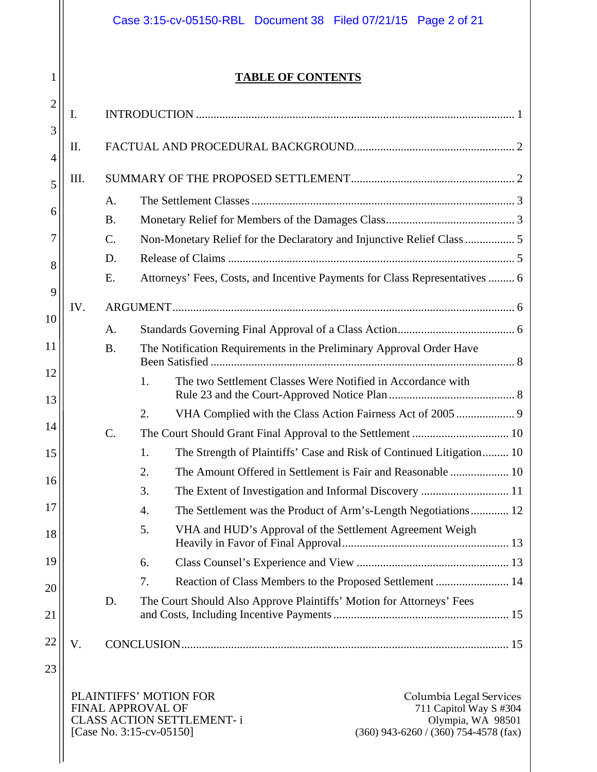|                     |     |                 | Case 3:15-cv-05150-RBL Document 38 Filed 07/21/15 Page 2 of 21                                                                                                                                                                            |  |
|---------------------|-----|-----------------|-------------------------------------------------------------------------------------------------------------------------------------------------------------------------------------------------------------------------------------------|--|
| 1                   |     |                 | <b>TABLE OF CONTENTS</b>                                                                                                                                                                                                                  |  |
| $\overline{2}$<br>3 | Ι.  |                 |                                                                                                                                                                                                                                           |  |
| 4                   | II. |                 |                                                                                                                                                                                                                                           |  |
| 5                   | Ш.  |                 |                                                                                                                                                                                                                                           |  |
|                     |     | A.              |                                                                                                                                                                                                                                           |  |
| 6                   |     | <b>B.</b>       |                                                                                                                                                                                                                                           |  |
| 7                   |     | $C$ .           |                                                                                                                                                                                                                                           |  |
| 8                   |     | D.              |                                                                                                                                                                                                                                           |  |
| 9                   |     | E.              | Attorneys' Fees, Costs, and Incentive Payments for Class Representatives  6                                                                                                                                                               |  |
|                     | IV. |                 |                                                                                                                                                                                                                                           |  |
| 10                  |     | A.              |                                                                                                                                                                                                                                           |  |
| 11                  |     | <b>B.</b>       | The Notification Requirements in the Preliminary Approval Order Have                                                                                                                                                                      |  |
| 12<br>13            |     |                 | 1.<br>The two Settlement Classes Were Notified in Accordance with                                                                                                                                                                         |  |
|                     |     |                 | 2.                                                                                                                                                                                                                                        |  |
| 14                  |     | $\mathcal{C}$ . |                                                                                                                                                                                                                                           |  |
| 15                  |     |                 | 1.<br>The Strength of Plaintiffs' Case and Risk of Continued Litigation 10                                                                                                                                                                |  |
|                     |     |                 | The Amount Offered in Settlement is Fair and Reasonable  10<br>2.                                                                                                                                                                         |  |
| 16                  |     |                 | 3.                                                                                                                                                                                                                                        |  |
| 17                  |     |                 | The Settlement was the Product of Arm's-Length Negotiations 12<br>4.                                                                                                                                                                      |  |
| 18                  |     |                 | 5.<br>VHA and HUD's Approval of the Settlement Agreement Weigh                                                                                                                                                                            |  |
| 19                  |     |                 | 6.                                                                                                                                                                                                                                        |  |
| 20                  |     |                 | Reaction of Class Members to the Proposed Settlement  14<br>7.                                                                                                                                                                            |  |
| 21                  |     | D.              | The Court Should Also Approve Plaintiffs' Motion for Attorneys' Fees                                                                                                                                                                      |  |
| 22                  | V.  |                 |                                                                                                                                                                                                                                           |  |
| 23                  |     |                 |                                                                                                                                                                                                                                           |  |
|                     |     |                 | PLAINTIFFS' MOTION FOR<br>Columbia Legal Services<br><b>FINAL APPROVAL OF</b><br>711 Capitol Way S #304<br><b>CLASS ACTION SETTLEMENT-i</b><br>Olympia, WA 98501<br>[Case No. 3:15-cv-05150]<br>$(360)$ 943-6260 / $(360)$ 754-4578 (fax) |  |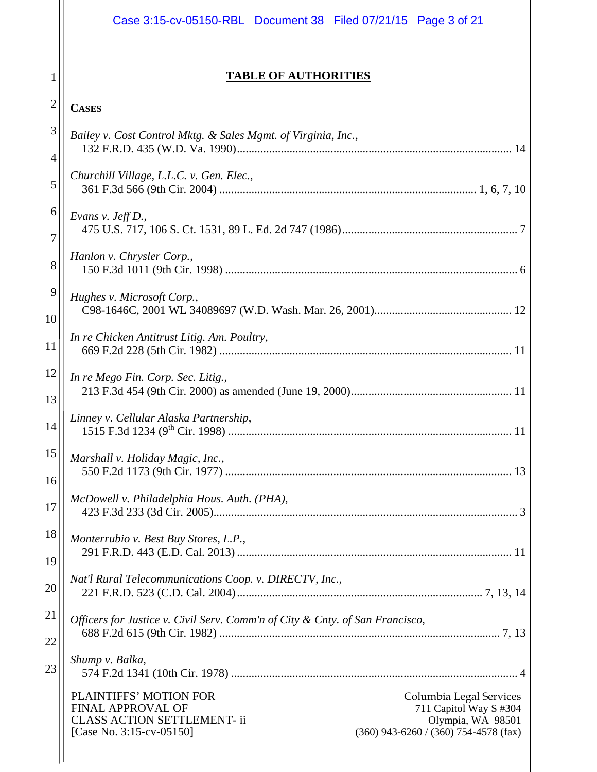|                | Case 3:15-cv-05150-RBL Document 38 Filed 07/21/15 Page 3 of 21                                                                                                                                                                    |
|----------------|-----------------------------------------------------------------------------------------------------------------------------------------------------------------------------------------------------------------------------------|
| 1              | <b>TABLE OF AUTHORITIES</b>                                                                                                                                                                                                       |
| $\overline{2}$ | <b>CASES</b>                                                                                                                                                                                                                      |
| 3              | Bailey v. Cost Control Mktg. & Sales Mgmt. of Virginia, Inc.,                                                                                                                                                                     |
| 4              |                                                                                                                                                                                                                                   |
| 5              | Churchill Village, L.L.C. v. Gen. Elec.,                                                                                                                                                                                          |
| 6<br>7         | Evans v. Jeff D.,                                                                                                                                                                                                                 |
| 8              | Hanlon v. Chrysler Corp.,                                                                                                                                                                                                         |
| 9              | Hughes v. Microsoft Corp.,                                                                                                                                                                                                        |
| 10             |                                                                                                                                                                                                                                   |
| 11             | In re Chicken Antitrust Litig. Am. Poultry,                                                                                                                                                                                       |
| 12             | In re Mego Fin. Corp. Sec. Litig.,                                                                                                                                                                                                |
| 13             | Linney v. Cellular Alaska Partnership,                                                                                                                                                                                            |
| 14             | 1515 F.3d 1234 (9 <sup>th</sup> Cir. 1998)<br>11                                                                                                                                                                                  |
| 15             | Marshall v. Holiday Magic, Inc.,                                                                                                                                                                                                  |
| 16             | McDowell v. Philadelphia Hous. Auth. (PHA),                                                                                                                                                                                       |
| 17             |                                                                                                                                                                                                                                   |
| 18             | Monterrubio v. Best Buy Stores, L.P.,                                                                                                                                                                                             |
| 19             | Nat'l Rural Telecommunications Coop. v. DIRECTV, Inc.,                                                                                                                                                                            |
| 20             |                                                                                                                                                                                                                                   |
| 21             | Officers for Justice v. Civil Serv. Comm'n of City & Cnty. of San Francisco,                                                                                                                                                      |
| 22             |                                                                                                                                                                                                                                   |
| 23             | Shump v. Balka,                                                                                                                                                                                                                   |
|                | PLAINTIFFS' MOTION FOR<br>Columbia Legal Services<br>FINAL APPROVAL OF<br>711 Capitol Way S #304<br><b>CLASS ACTION SETTLEMENT-ii</b><br>Olympia, WA 98501<br>[Case No. 3:15-cv-05150]<br>$(360)$ 943-6260 / (360) 754-4578 (fax) |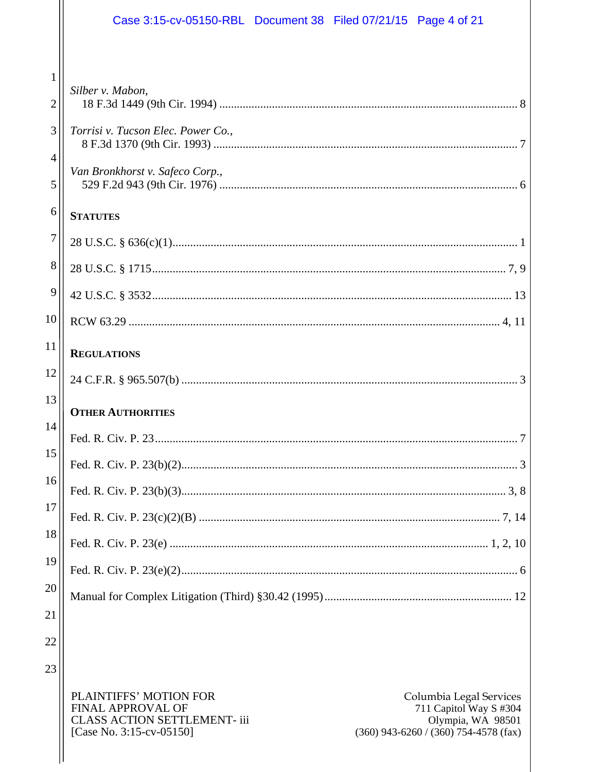|                | Case 3:15-cv-05150-RBL Document 38 Filed 07/21/15 Page 4 of 21 |
|----------------|----------------------------------------------------------------|
|                |                                                                |
| 1              | Silber v. Mabon,                                               |
| $\overline{2}$ |                                                                |
| 3              | Torrisi v. Tucson Elec. Power Co.,                             |
| 4              |                                                                |
| 5              | Van Bronkhorst v. Safeco Corp.,                                |
| 6              | <b>STATUTES</b>                                                |
| $\overline{7}$ |                                                                |
| $8\,$          |                                                                |
| 9              |                                                                |
| 10             |                                                                |
| 11             | <b>REGULATIONS</b>                                             |
| 12             |                                                                |
| 13             | <b>OTHER AUTHORITIES</b>                                       |
| 14             |                                                                |
| 15             |                                                                |
| 16             |                                                                |
| 17             |                                                                |
| 18             |                                                                |
| 19             |                                                                |
| 20             |                                                                |
| 21             |                                                                |
| 22             |                                                                |
| 23             |                                                                |

PLAINTIFFS' MOTION FOR<br>FINAL APPROVAL OF<br>CLASS ACTION SETTLEMENT- iii<br>[Case No. 3:15-cv-05150]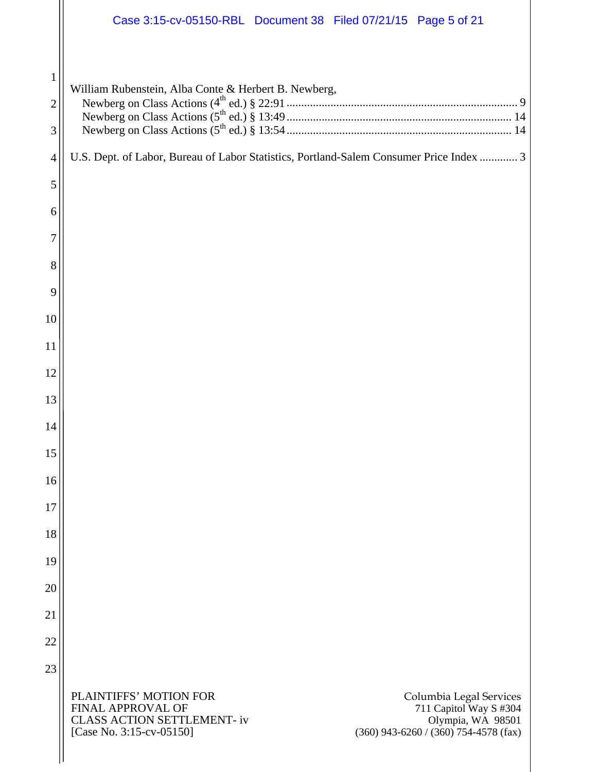|                                     | Case 3:15-cv-05150-RBL Document 38 Filed 07/21/15 Page 5 of 21                                                                                                                                                                           |
|-------------------------------------|------------------------------------------------------------------------------------------------------------------------------------------------------------------------------------------------------------------------------------------|
| $\mathbf{1}$<br>$\overline{2}$<br>3 | William Rubenstein, Alba Conte & Herbert B. Newberg,                                                                                                                                                                                     |
| $\overline{4}$                      | U.S. Dept. of Labor, Bureau of Labor Statistics, Portland-Salem Consumer Price Index  3                                                                                                                                                  |
| 5                                   |                                                                                                                                                                                                                                          |
| 6                                   |                                                                                                                                                                                                                                          |
| 7                                   |                                                                                                                                                                                                                                          |
| 8                                   |                                                                                                                                                                                                                                          |
| 9                                   |                                                                                                                                                                                                                                          |
| 10                                  |                                                                                                                                                                                                                                          |
| 11                                  |                                                                                                                                                                                                                                          |
| 12                                  |                                                                                                                                                                                                                                          |
| 13                                  |                                                                                                                                                                                                                                          |
| 14                                  |                                                                                                                                                                                                                                          |
| 15                                  |                                                                                                                                                                                                                                          |
| 16                                  |                                                                                                                                                                                                                                          |
| 17                                  |                                                                                                                                                                                                                                          |
| 18                                  |                                                                                                                                                                                                                                          |
| 19                                  |                                                                                                                                                                                                                                          |
| 20<br>21                            |                                                                                                                                                                                                                                          |
| 22                                  |                                                                                                                                                                                                                                          |
| 23                                  |                                                                                                                                                                                                                                          |
|                                     | PLAINTIFFS' MOTION FOR<br>Columbia Legal Services<br><b>FINAL APPROVAL OF</b><br>711 Capitol Way S #304<br><b>CLASS ACTION SETTLEMENT-iv</b><br>Olympia, WA 98501<br>[Case No. 3:15-cv-05150]<br>$(360)$ 943-6260 / (360) 754-4578 (fax) |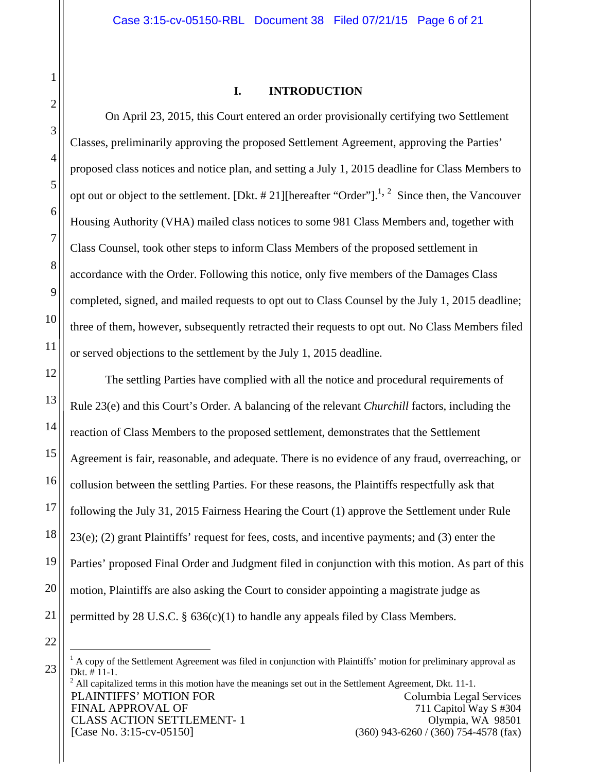#### **I. INTRODUCTION**

On April 23, 2015, this Court entered an order provisionally certifying two Settlement Classes, preliminarily approving the proposed Settlement Agreement, approving the Parties' proposed class notices and notice plan, and setting a July 1, 2015 deadline for Class Members to opt out or object to the settlement. [Dkt. # 21][hereafter "Order"].<sup>1, 2</sup> Since then, the Vancouver Housing Authority (VHA) mailed class notices to some 981 Class Members and, together with Class Counsel, took other steps to inform Class Members of the proposed settlement in accordance with the Order. Following this notice, only five members of the Damages Class completed, signed, and mailed requests to opt out to Class Counsel by the July 1, 2015 deadline; three of them, however, subsequently retracted their requests to opt out. No Class Members filed or served objections to the settlement by the July 1, 2015 deadline.

The settling Parties have complied with all the notice and procedural requirements of Rule 23(e) and this Court's Order. A balancing of the relevant *Churchill* factors, including the reaction of Class Members to the proposed settlement, demonstrates that the Settlement Agreement is fair, reasonable, and adequate. There is no evidence of any fraud, overreaching, or collusion between the settling Parties. For these reasons, the Plaintiffs respectfully ask that following the July 31, 2015 Fairness Hearing the Court (1) approve the Settlement under Rule  $23(e)$ ; (2) grant Plaintiffs' request for fees, costs, and incentive payments; and (3) enter the Parties' proposed Final Order and Judgment filed in conjunction with this motion. As part of this motion, Plaintiffs are also asking the Court to consider appointing a magistrate judge as permitted by 28 U.S.C. § 636(c)(1) to handle any appeals filed by Class Members.

PLAINTIFFS' MOTION FOR FINAL APPROVAL OF CLASS ACTION SETTLEMENT- 1 [Case No. 3:15-cv-05150] Columbia Legal Services 711 Capitol Way S #304 Olympia, WA 98501 (360) 943-6260 / (360) 754-4578 (fax)  $2<sup>2</sup>$  All capitalized terms in this motion have the meanings set out in the Settlement Agreement, Dkt. 11-1.

 $\overline{a}$  $<sup>1</sup>$  A copy of the Settlement Agreement was filed in conjunction with Plaintiffs' motion for preliminary approval as</sup> Dkt. # 11-1.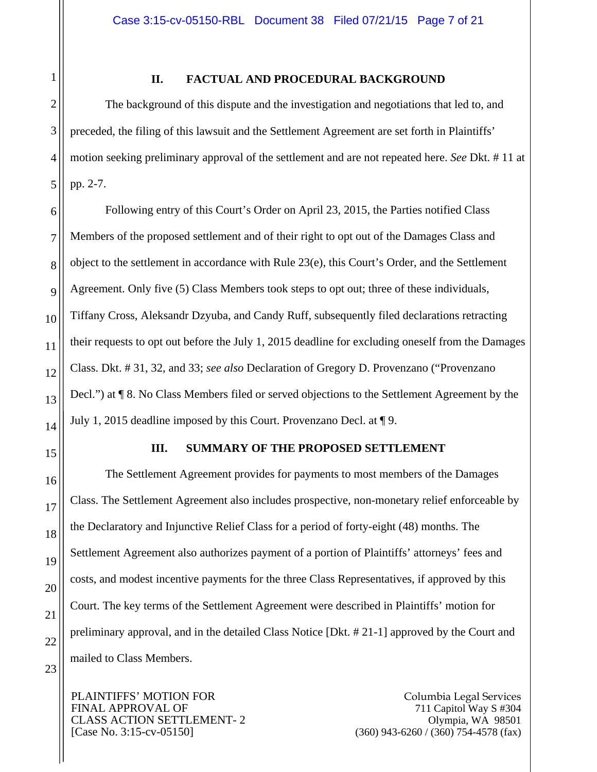#### **II. FACTUAL AND PROCEDURAL BACKGROUND**

The background of this dispute and the investigation and negotiations that led to, and preceded, the filing of this lawsuit and the Settlement Agreement are set forth in Plaintiffs' motion seeking preliminary approval of the settlement and are not repeated here. *See* Dkt. # 11 at pp. 2-7.

Following entry of this Court's Order on April 23, 2015, the Parties notified Class Members of the proposed settlement and of their right to opt out of the Damages Class and object to the settlement in accordance with Rule 23(e), this Court's Order, and the Settlement Agreement. Only five (5) Class Members took steps to opt out; three of these individuals, Tiffany Cross, Aleksandr Dzyuba, and Candy Ruff, subsequently filed declarations retracting their requests to opt out before the July 1, 2015 deadline for excluding oneself from the Damages Class. Dkt. # 31, 32, and 33; *see also* Declaration of Gregory D. Provenzano ("Provenzano Decl.") at ¶ 8. No Class Members filed or served objections to the Settlement Agreement by the July 1, 2015 deadline imposed by this Court. Provenzano Decl. at ¶ 9.

1

2

3

4

5

6

7

8

9

10

11

12

13

14

15

16

17

18

19

20

21

22

23

# **III. SUMMARY OF THE PROPOSED SETTLEMENT**

The Settlement Agreement provides for payments to most members of the Damages Class. The Settlement Agreement also includes prospective, non-monetary relief enforceable by the Declaratory and Injunctive Relief Class for a period of forty-eight (48) months. The Settlement Agreement also authorizes payment of a portion of Plaintiffs' attorneys' fees and costs, and modest incentive payments for the three Class Representatives, if approved by this Court. The key terms of the Settlement Agreement were described in Plaintiffs' motion for preliminary approval, and in the detailed Class Notice [Dkt. # 21-1] approved by the Court and mailed to Class Members.

PLAINTIFFS' MOTION FOR FINAL APPROVAL OF CLASS ACTION SETTLEMENT- 2 [Case No. 3:15-cv-05150]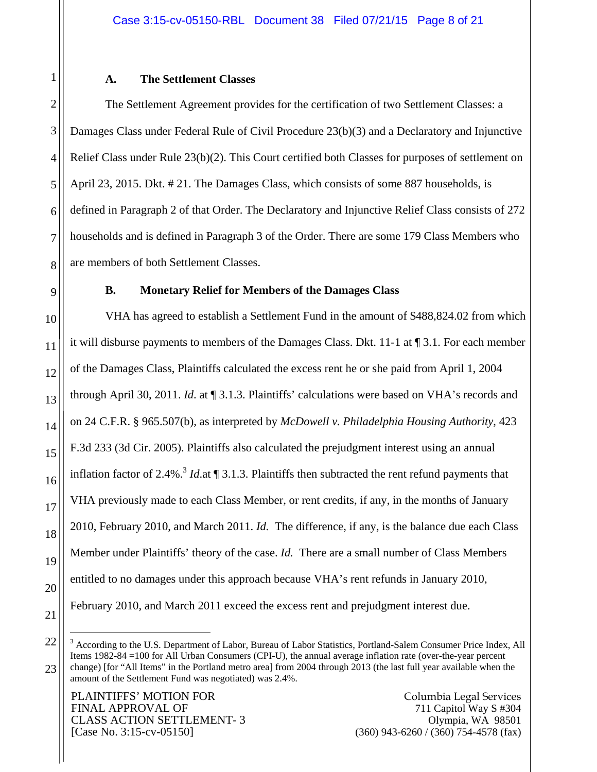#### **A. The Settlement Classes**

The Settlement Agreement provides for the certification of two Settlement Classes: a Damages Class under Federal Rule of Civil Procedure 23(b)(3) and a Declaratory and Injunctive Relief Class under Rule 23(b)(2). This Court certified both Classes for purposes of settlement on April 23, 2015. Dkt. # 21. The Damages Class, which consists of some 887 households, is defined in Paragraph 2 of that Order. The Declaratory and Injunctive Relief Class consists of 272 households and is defined in Paragraph 3 of the Order. There are some 179 Class Members who are members of both Settlement Classes.

#### **B. Monetary Relief for Members of the Damages Class**

VHA has agreed to establish a Settlement Fund in the amount of \$488,824.02 from which it will disburse payments to members of the Damages Class. Dkt. 11-1 at ¶ 3.1. For each member of the Damages Class, Plaintiffs calculated the excess rent he or she paid from April 1, 2004 through April 30, 2011. *Id*. at ¶ 3.1.3. Plaintiffs' calculations were based on VHA's records and on 24 C.F.R. § 965.507(b), as interpreted by *McDowell v. Philadelphia Housing Authority*, 423 F.3d 233 (3d Cir. 2005). Plaintiffs also calculated the prejudgment interest using an annual inflation factor of 2.4%.<sup>3</sup> *Id.*at  $\P$  3.1.3. Plaintiffs then subtracted the rent refund payments that VHA previously made to each Class Member, or rent credits, if any, in the months of January 2010, February 2010, and March 2011. *Id.* The difference, if any, is the balance due each Class Member under Plaintiffs' theory of the case. *Id.* There are a small number of Class Members entitled to no damages under this approach because VHA's rent refunds in January 2010, February 2010, and March 2011 exceed the excess rent and prejudgment interest due.

1

PLAINTIFFS' MOTION FOR FINAL APPROVAL OF CLASS ACTION SETTLEMENT- 3 [Case No. 3:15-cv-05150]

1

2

3

4

5

<sup>&</sup>lt;sup>3</sup> According to the U.S. Department of Labor, Bureau of Labor Statistics, Portland-Salem Consumer Price Index, All Items 1982-84 =100 for All Urban Consumers (CPI-U), the annual average inflation rate (over-the-year percent change) [for "All Items" in the Portland metro area] from 2004 through 2013 (the last full year available when the amount of the Settlement Fund was negotiated) was 2.4%.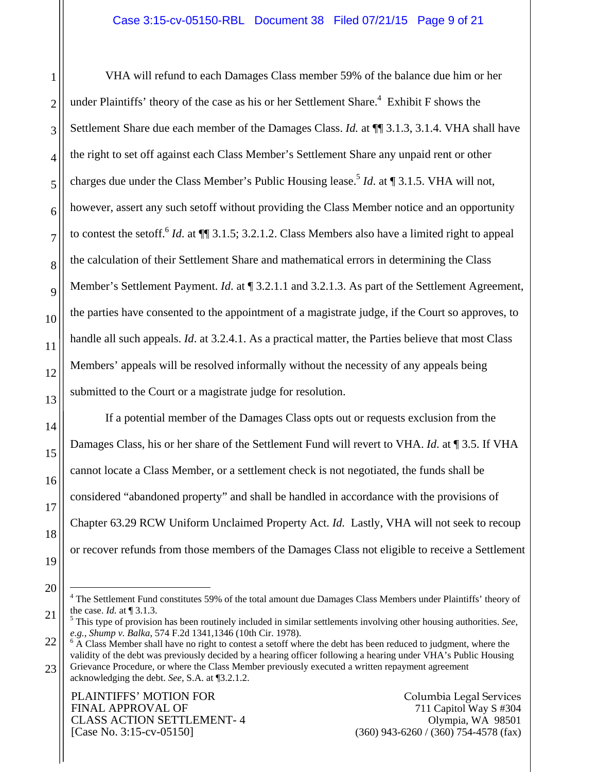VHA will refund to each Damages Class member 59% of the balance due him or her under Plaintiffs' theory of the case as his or her Settlement Share.<sup>4</sup> Exhibit F shows the Settlement Share due each member of the Damages Class. *Id.* at ¶[ 3.1.3, 3.1.4. VHA shall have the right to set off against each Class Member's Settlement Share any unpaid rent or other charges due under the Class Member's Public Housing lease.<sup>5</sup> *Id.* at ¶ 3.1.5. VHA will not, however, assert any such setoff without providing the Class Member notice and an opportunity to contest the setoff.6 *Id*. at ¶¶ 3.1.5; 3.2.1.2. Class Members also have a limited right to appeal the calculation of their Settlement Share and mathematical errors in determining the Class Member's Settlement Payment. *Id.* at  $\P$  3.2.1.1 and 3.2.1.3. As part of the Settlement Agreement, the parties have consented to the appointment of a magistrate judge, if the Court so approves, to handle all such appeals. *Id*. at 3.2.4.1. As a practical matter, the Parties believe that most Class Members' appeals will be resolved informally without the necessity of any appeals being submitted to the Court or a magistrate judge for resolution.

If a potential member of the Damages Class opts out or requests exclusion from the Damages Class, his or her share of the Settlement Fund will revert to VHA. *Id*. at ¶ 3.5. If VHA cannot locate a Class Member, or a settlement check is not negotiated, the funds shall be considered "abandoned property" and shall be handled in accordance with the provisions of Chapter 63.29 RCW Uniform Unclaimed Property Act. *Id.* Lastly, VHA will not seek to recoup or recover refunds from those members of the Damages Class not eligible to receive a Settlement

1

2

3

4

5

6

7

8

9

10

11

12

13

14

15

16

17

18

19

20

 $\overline{a}$ 

<sup>&</sup>lt;sup>4</sup> The Settlement Fund constitutes 59% of the total amount due Damages Class Members under Plaintiffs' theory of the case. *Id.* at [3.1.3.]

<sup>21</sup> This type of provision has been routinely included in similar settlements involving other housing authorities. *See, e.g.*, *Shump v. Balka*, 574 F.2d 1341,1346 (10th Cir. 1978). 6

<sup>22</sup> 23  $6$  A Class Member shall have no right to contest a setoff where the debt has been reduced to judgment, where the validity of the debt was previously decided by a hearing officer following a hearing under VHA's Public Housing Grievance Procedure, or where the Class Member previously executed a written repayment agreement acknowledging the debt. *See*, S.A. at ¶3.2.1.2.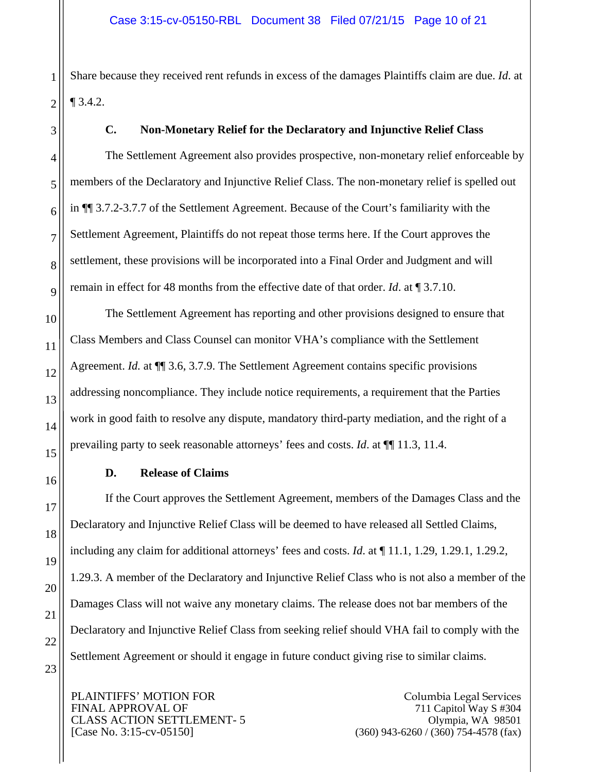Share because they received rent refunds in excess of the damages Plaintiffs claim are due. *Id*. at ¶ 3.4.2.

1

# **C. Non-Monetary Relief for the Declaratory and Injunctive Relief Class**

The Settlement Agreement also provides prospective, non-monetary relief enforceable by members of the Declaratory and Injunctive Relief Class. The non-monetary relief is spelled out in ¶¶ 3.7.2-3.7.7 of the Settlement Agreement. Because of the Court's familiarity with the Settlement Agreement, Plaintiffs do not repeat those terms here. If the Court approves the settlement, these provisions will be incorporated into a Final Order and Judgment and will remain in effect for 48 months from the effective date of that order. *Id*. at ¶ 3.7.10.

The Settlement Agreement has reporting and other provisions designed to ensure that Class Members and Class Counsel can monitor VHA's compliance with the Settlement Agreement. *Id.* at ¶¶ 3.6, 3.7.9. The Settlement Agreement contains specific provisions addressing noncompliance. They include notice requirements, a requirement that the Parties work in good faith to resolve any dispute, mandatory third-party mediation, and the right of a prevailing party to seek reasonable attorneys' fees and costs. *Id*. at ¶¶ 11.3, 11.4.

## **D. Release of Claims**

If the Court approves the Settlement Agreement, members of the Damages Class and the Declaratory and Injunctive Relief Class will be deemed to have released all Settled Claims, including any claim for additional attorneys' fees and costs. *Id*. at ¶ 11.1, 1.29, 1.29.1, 1.29.2, 1.29.3. A member of the Declaratory and Injunctive Relief Class who is not also a member of the Damages Class will not waive any monetary claims. The release does not bar members of the Declaratory and Injunctive Relief Class from seeking relief should VHA fail to comply with the Settlement Agreement or should it engage in future conduct giving rise to similar claims.

PLAINTIFFS' MOTION FOR FINAL APPROVAL OF CLASS ACTION SETTLEMENT- 5 [Case No. 3:15-cv-05150]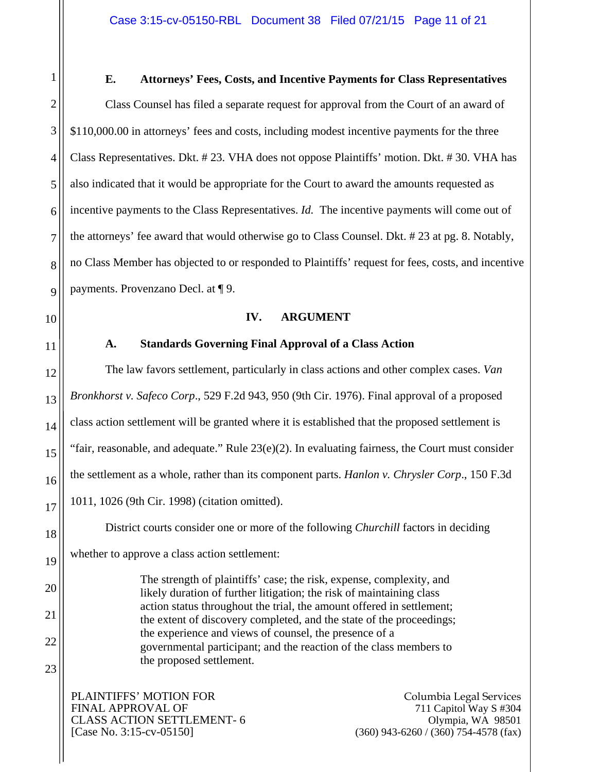2 **E. Attorneys' Fees, Costs, and Incentive Payments for Class Representatives**  Class Counsel has filed a separate request for approval from the Court of an award of \$110,000.00 in attorneys' fees and costs, including modest incentive payments for the three Class Representatives. Dkt. # 23. VHA does not oppose Plaintiffs' motion. Dkt. # 30. VHA has also indicated that it would be appropriate for the Court to award the amounts requested as incentive payments to the Class Representatives. *Id.* The incentive payments will come out of the attorneys' fee award that would otherwise go to Class Counsel. Dkt. # 23 at pg. 8. Notably, no Class Member has objected to or responded to Plaintiffs' request for fees, costs, and incentive payments. Provenzano Decl. at ¶ 9.

**IV. ARGUMENT** 

# **A. Standards Governing Final Approval of a Class Action**

The law favors settlement, particularly in class actions and other complex cases. *Van Bronkhorst v. Safeco Corp*., 529 F.2d 943, 950 (9th Cir. 1976). Final approval of a proposed class action settlement will be granted where it is established that the proposed settlement is "fair, reasonable, and adequate." Rule  $23(e)(2)$ . In evaluating fairness, the Court must consider the settlement as a whole, rather than its component parts. *Hanlon v. Chrysler Corp*., 150 F.3d 1011, 1026 (9th Cir. 1998) (citation omitted).

District courts consider one or more of the following *Churchill* factors in deciding whether to approve a class action settlement:

> The strength of plaintiffs' case; the risk, expense, complexity, and likely duration of further litigation; the risk of maintaining class action status throughout the trial, the amount offered in settlement; the extent of discovery completed, and the state of the proceedings; the experience and views of counsel, the presence of a governmental participant; and the reaction of the class members to the proposed settlement.

PLAINTIFFS' MOTION FOR FINAL APPROVAL OF CLASS ACTION SETTLEMENT- 6 [Case No. 3:15-cv-05150]

Columbia Legal Services 711 Capitol Way S #304 Olympia, WA 98501 (360) 943-6260 / (360) 754-4578 (fax)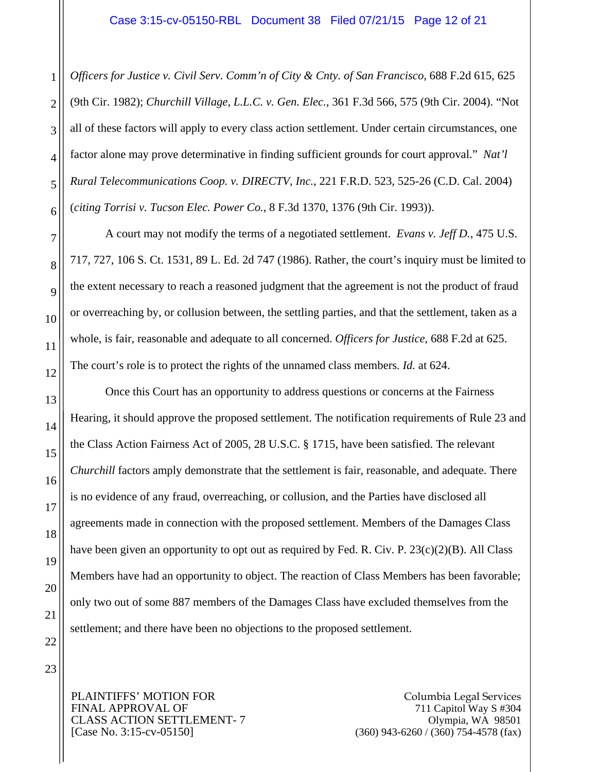*Officers for Justice v. Civil Serv. Comm'n of City & Cnty. of San Francisco*, 688 F.2d 615, 625 (9th Cir. 1982); *Churchill Village, L.L.C. v. Gen. Elec.*, 361 F.3d 566, 575 (9th Cir. 2004). "Not all of these factors will apply to every class action settlement. Under certain circumstances, one factor alone may prove determinative in finding sufficient grounds for court approval." *Nat'l Rural Telecommunications Coop. v. DIRECTV, Inc.*, 221 F.R.D. 523, 525-26 (C.D. Cal. 2004) (*citing Torrisi v. Tucson Elec. Power Co.*, 8 F.3d 1370, 1376 (9th Cir. 1993)).

 A court may not modify the terms of a negotiated settlement. *Evans v. Jeff D.*, 475 U.S. 717, 727, 106 S. Ct. 1531, 89 L. Ed. 2d 747 (1986). Rather, the court's inquiry must be limited to the extent necessary to reach a reasoned judgment that the agreement is not the product of fraud or overreaching by, or collusion between, the settling parties, and that the settlement, taken as a whole, is fair, reasonable and adequate to all concerned. *Officers for Justice*, 688 F.2d at 625. The court's role is to protect the rights of the unnamed class members*. Id.* at 624.

Once this Court has an opportunity to address questions or concerns at the Fairness Hearing, it should approve the proposed settlement. The notification requirements of Rule 23 and the Class Action Fairness Act of 2005, 28 U.S.C. § 1715, have been satisfied. The relevant *Churchill* factors amply demonstrate that the settlement is fair, reasonable, and adequate. There is no evidence of any fraud, overreaching, or collusion, and the Parties have disclosed all agreements made in connection with the proposed settlement. Members of the Damages Class have been given an opportunity to opt out as required by Fed. R. Civ. P. 23(c)(2)(B). All Class Members have had an opportunity to object. The reaction of Class Members has been favorable; only two out of some 887 members of the Damages Class have excluded themselves from the settlement; and there have been no objections to the proposed settlement.

PLAINTIFFS' MOTION FOR FINAL APPROVAL OF CLASS ACTION SETTLEMENT- 7 [Case No. 3:15-cv-05150]

Columbia Legal Services 711 Capitol Way S #304 Olympia, WA 98501 (360) 943-6260 / (360) 754-4578 (fax)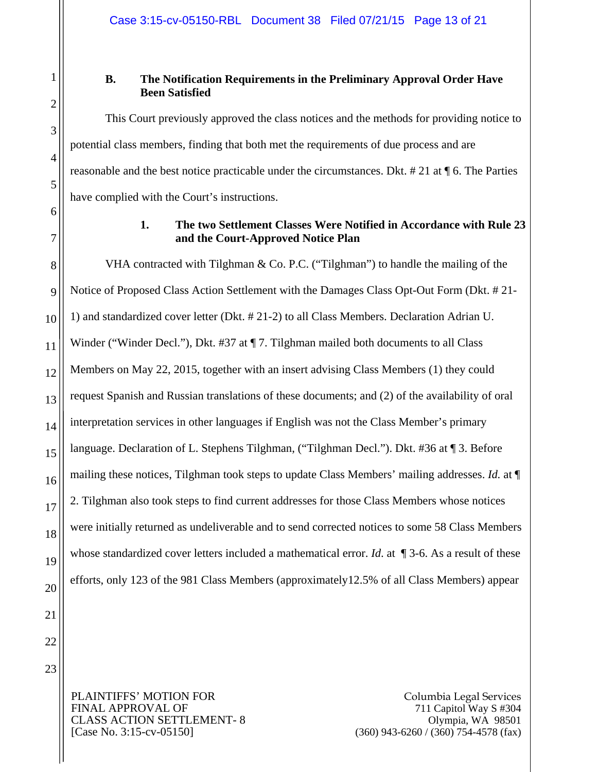1

2

3

4

5

6

7

8

9

10

11

12

13

14

15

16

17

18

19

20

21

# **B. The Notification Requirements in the Preliminary Approval Order Have Been Satisfied**

This Court previously approved the class notices and the methods for providing notice to potential class members, finding that both met the requirements of due process and are reasonable and the best notice practicable under the circumstances. Dkt. # 21 at ¶ 6. The Parties have complied with the Court's instructions.

# **1. The two Settlement Classes Were Notified in Accordance with Rule 23 and the Court-Approved Notice Plan**

VHA contracted with Tilghman & Co. P.C. ("Tilghman") to handle the mailing of the Notice of Proposed Class Action Settlement with the Damages Class Opt-Out Form (Dkt. # 21- 1) and standardized cover letter (Dkt. # 21-2) to all Class Members. Declaration Adrian U. Winder ("Winder Decl."), Dkt. #37 at ¶ 7. Tilghman mailed both documents to all Class Members on May 22, 2015, together with an insert advising Class Members (1) they could request Spanish and Russian translations of these documents; and (2) of the availability of oral interpretation services in other languages if English was not the Class Member's primary language. Declaration of L. Stephens Tilghman, ("Tilghman Decl."). Dkt. #36 at ¶ 3. Before mailing these notices, Tilghman took steps to update Class Members' mailing addresses. *Id.* at ¶ 2. Tilghman also took steps to find current addresses for those Class Members whose notices were initially returned as undeliverable and to send corrected notices to some 58 Class Members whose standardized cover letters included a mathematical error. *Id.* at  $\P$  3-6. As a result of these efforts, only 123 of the 981 Class Members (approximately12.5% of all Class Members) appear

22 23

> PLAINTIFFS' MOTION FOR FINAL APPROVAL OF CLASS ACTION SETTLEMENT- 8 [Case No. 3:15-cv-05150]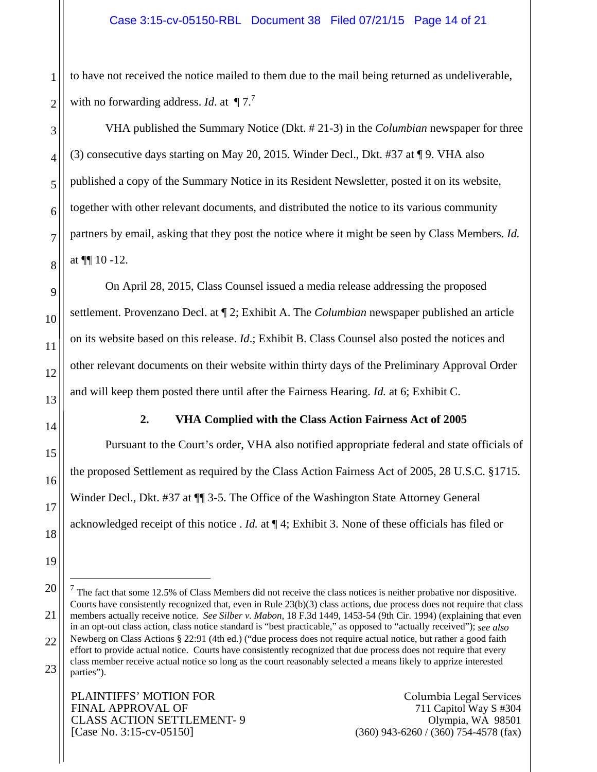to have not received the notice mailed to them due to the mail being returned as undeliverable, with no forwarding address. *Id.* at  $\P 7$ .

VHA published the Summary Notice (Dkt. # 21-3) in the *Columbian* newspaper for three (3) consecutive days starting on May 20, 2015. Winder Decl., Dkt. #37 at ¶ 9. VHA also published a copy of the Summary Notice in its Resident Newsletter, posted it on its website, together with other relevant documents, and distributed the notice to its various community partners by email, asking that they post the notice where it might be seen by Class Members. *Id.* at  $\P$  10 -12.

On April 28, 2015, Class Counsel issued a media release addressing the proposed settlement. Provenzano Decl. at ¶ 2; Exhibit A. The *Columbian* newspaper published an article on its website based on this release. *Id*.; Exhibit B. Class Counsel also posted the notices and other relevant documents on their website within thirty days of the Preliminary Approval Order and will keep them posted there until after the Fairness Hearing. *Id.* at 6; Exhibit C.

1

2

3

4

5

6

7

8

9

10

11

12

13

14

15

16

17

18

19

 $\overline{a}$ 

#### **2. VHA Complied with the Class Action Fairness Act of 2005**

Pursuant to the Court's order, VHA also notified appropriate federal and state officials of the proposed Settlement as required by the Class Action Fairness Act of 2005, 28 U.S.C. §1715. Winder Decl., Dkt. #37 at  $\P$  3-5. The Office of the Washington State Attorney General acknowledged receipt of this notice . *Id.* at ¶ 4; Exhibit 3. None of these officials has filed or

<sup>20</sup> 21 22 23  $<sup>7</sup>$  The fact that some 12.5% of Class Members did not receive the class notices is neither probative nor dispositive.</sup> Courts have consistently recognized that, even in Rule  $23(b)(3)$  class actions, due process does not require that class members actually receive notice. *See Silber v. Mabon*, 18 F.3d 1449, 1453-54 (9th Cir. 1994) (explaining that even in an opt-out class action, class notice standard is "best practicable," as opposed to "actually received"); *see also* Newberg on Class Actions § 22:91 (4th ed.) ("due process does not require actual notice, but rather a good faith effort to provide actual notice. Courts have consistently recognized that due process does not require that every class member receive actual notice so long as the court reasonably selected a means likely to apprize interested parties").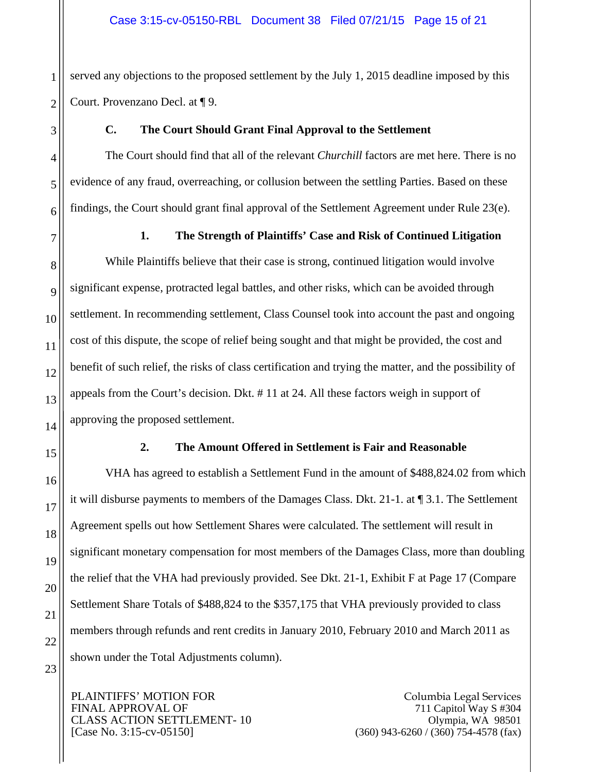served any objections to the proposed settlement by the July 1, 2015 deadline imposed by this Court. Provenzano Decl. at ¶ 9.

# **C. The Court Should Grant Final Approval to the Settlement**

The Court should find that all of the relevant *Churchill* factors are met here. There is no evidence of any fraud, overreaching, or collusion between the settling Parties. Based on these findings, the Court should grant final approval of the Settlement Agreement under Rule 23(e).

## **1. The Strength of Plaintiffs' Case and Risk of Continued Litigation**

While Plaintiffs believe that their case is strong, continued litigation would involve significant expense, protracted legal battles, and other risks, which can be avoided through settlement. In recommending settlement, Class Counsel took into account the past and ongoing cost of this dispute, the scope of relief being sought and that might be provided, the cost and benefit of such relief, the risks of class certification and trying the matter, and the possibility of appeals from the Court's decision. Dkt. # 11 at 24. All these factors weigh in support of approving the proposed settlement.

## **2. The Amount Offered in Settlement is Fair and Reasonable**

VHA has agreed to establish a Settlement Fund in the amount of \$488,824.02 from which it will disburse payments to members of the Damages Class. Dkt. 21-1. at ¶ 3.1. The Settlement Agreement spells out how Settlement Shares were calculated. The settlement will result in significant monetary compensation for most members of the Damages Class, more than doubling the relief that the VHA had previously provided. See Dkt. 21-1, Exhibit F at Page 17 (Compare Settlement Share Totals of \$488,824 to the \$357,175 that VHA previously provided to class members through refunds and rent credits in January 2010, February 2010 and March 2011 as shown under the Total Adjustments column).

PLAINTIFFS' MOTION FOR FINAL APPROVAL OF CLASS ACTION SETTLEMENT- 10 [Case No. 3:15-cv-05150]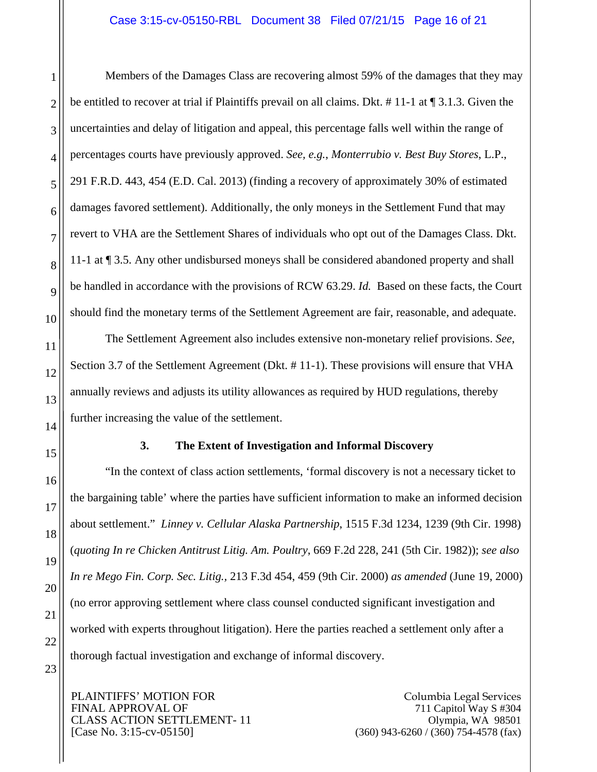#### Case 3:15-cv-05150-RBL Document 38 Filed 07/21/15 Page 16 of 21

Members of the Damages Class are recovering almost 59% of the damages that they may be entitled to recover at trial if Plaintiffs prevail on all claims. Dkt. # 11-1 at ¶ 3.1.3. Given the uncertainties and delay of litigation and appeal, this percentage falls well within the range of percentages courts have previously approved. *See, e.g.*, *Monterrubio v. Best Buy Stores*, L.P., 291 F.R.D. 443, 454 (E.D. Cal. 2013) (finding a recovery of approximately 30% of estimated damages favored settlement). Additionally, the only moneys in the Settlement Fund that may revert to VHA are the Settlement Shares of individuals who opt out of the Damages Class. Dkt. 11-1 at ¶ 3.5. Any other undisbursed moneys shall be considered abandoned property and shall be handled in accordance with the provisions of RCW 63.29. *Id.* Based on these facts, the Court should find the monetary terms of the Settlement Agreement are fair, reasonable, and adequate.

The Settlement Agreement also includes extensive non-monetary relief provisions. *See*, Section 3.7 of the Settlement Agreement (Dkt. # 11-1). These provisions will ensure that VHA annually reviews and adjusts its utility allowances as required by HUD regulations, thereby further increasing the value of the settlement.

#### **3. The Extent of Investigation and Informal Discovery**

"In the context of class action settlements, 'formal discovery is not a necessary ticket to the bargaining table' where the parties have sufficient information to make an informed decision about settlement." *Linney v. Cellular Alaska Partnership*, 1515 F.3d 1234, 1239 (9th Cir. 1998) (*quoting In re Chicken Antitrust Litig. Am. Poultry*, 669 F.2d 228, 241 (5th Cir. 1982)); *see also In re Mego Fin. Corp. Sec. Litig.,* 213 F.3d 454, 459 (9th Cir. 2000) *as amended* (June 19, 2000) (no error approving settlement where class counsel conducted significant investigation and worked with experts throughout litigation). Here the parties reached a settlement only after a thorough factual investigation and exchange of informal discovery.

PLAINTIFFS' MOTION FOR FINAL APPROVAL OF CLASS ACTION SETTLEMENT- 11 [Case No. 3:15-cv-05150]

Columbia Legal Services 711 Capitol Way S #304 Olympia, WA 98501 (360) 943-6260 / (360) 754-4578 (fax)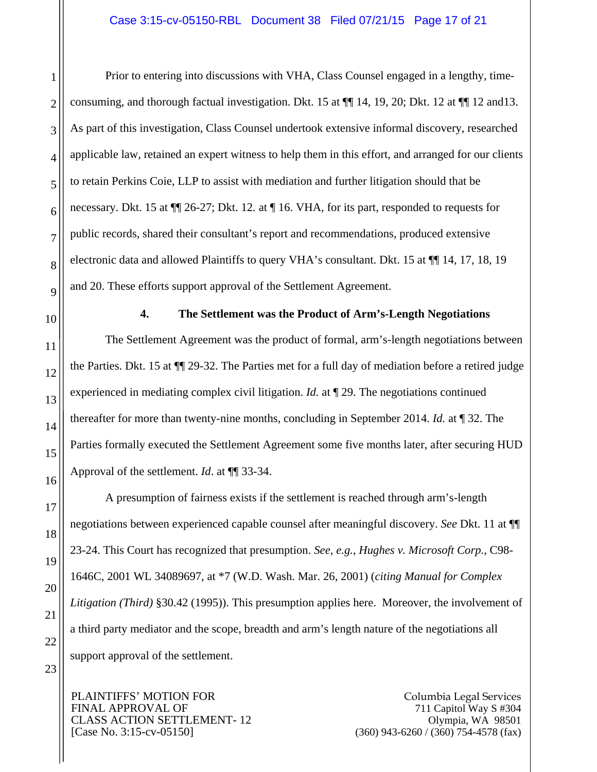Prior to entering into discussions with VHA, Class Counsel engaged in a lengthy, timeconsuming, and thorough factual investigation. Dkt. 15 at  $\P$  14, 19, 20; Dkt. 12 at  $\P$  12 and 13. As part of this investigation, Class Counsel undertook extensive informal discovery, researched applicable law, retained an expert witness to help them in this effort, and arranged for our clients to retain Perkins Coie, LLP to assist with mediation and further litigation should that be necessary. Dkt. 15 at ¶¶ 26-27; Dkt. 12*.* at ¶ 16. VHA, for its part, responded to requests for public records, shared their consultant's report and recommendations, produced extensive electronic data and allowed Plaintiffs to query VHA's consultant. Dkt. 15 at ¶¶ 14, 17, 18, 19 and 20. These efforts support approval of the Settlement Agreement.

1

2

3

4

5

6

#### **4. The Settlement was the Product of Arm's-Length Negotiations**

The Settlement Agreement was the product of formal, arm's-length negotiations between the Parties. Dkt. 15 at ¶¶ 29-32. The Parties met for a full day of mediation before a retired judge experienced in mediating complex civil litigation. *Id.* at ¶ 29. The negotiations continued thereafter for more than twenty-nine months, concluding in September 2014. *Id.* at ¶ 32. The Parties formally executed the Settlement Agreement some five months later, after securing HUD Approval of the settlement. *Id*. at ¶¶ 33-34.

A presumption of fairness exists if the settlement is reached through arm's-length negotiations between experienced capable counsel after meaningful discovery. *See* Dkt. 11 at ¶¶ 23-24. This Court has recognized that presumption. *See, e.g.*, *Hughes v. Microsoft Corp.*, C98- 1646C, 2001 WL 34089697, at \*7 (W.D. Wash. Mar. 26, 2001) (*citing Manual for Complex Litigation (Third)* §30.42 (1995)). This presumption applies here. Moreover, the involvement of a third party mediator and the scope, breadth and arm's length nature of the negotiations all support approval of the settlement.

PLAINTIFFS' MOTION FOR FINAL APPROVAL OF CLASS ACTION SETTLEMENT- 12 [Case No. 3:15-cv-05150]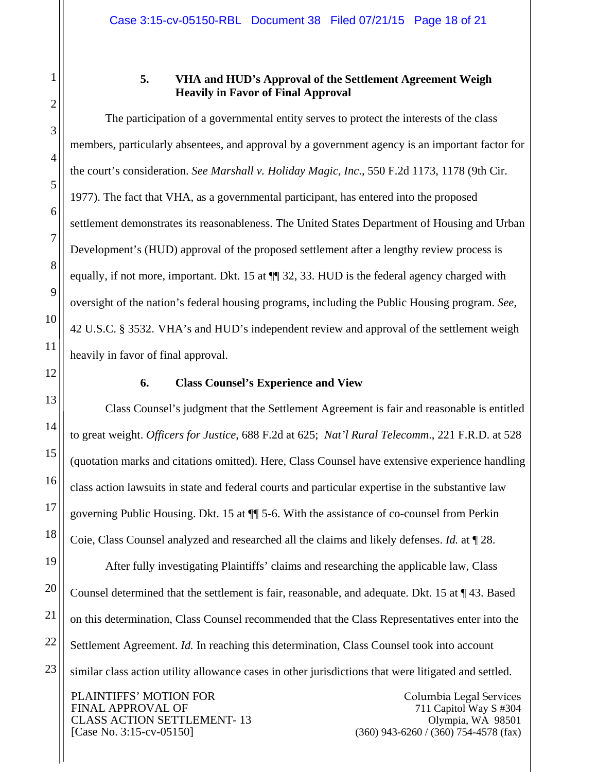1

2

3

4

5

6

7

8

9

10

11

12

13

14

15

16

17

18

19

20

21

22

23

## **5. VHA and HUD's Approval of the Settlement Agreement Weigh Heavily in Favor of Final Approval**

The participation of a governmental entity serves to protect the interests of the class members, particularly absentees, and approval by a government agency is an important factor for the court's consideration. *See Marshall v. Holiday Magic, Inc*., 550 F.2d 1173, 1178 (9th Cir. 1977). The fact that VHA, as a governmental participant, has entered into the proposed settlement demonstrates its reasonableness. The United States Department of Housing and Urban Development's (HUD) approval of the proposed settlement after a lengthy review process is equally, if not more, important. Dkt. 15 at  $\P$  32, 33. HUD is the federal agency charged with oversight of the nation's federal housing programs, including the Public Housing program. *See*, 42 U.S.C. § 3532. VHA's and HUD's independent review and approval of the settlement weigh heavily in favor of final approval.

## **6. Class Counsel's Experience and View**

Class Counsel's judgment that the Settlement Agreement is fair and reasonable is entitled to great weight. *Officers for Justice*, 688 F.2d at 625; *Nat'l Rural Telecomm*., 221 F.R.D. at 528 (quotation marks and citations omitted). Here, Class Counsel have extensive experience handling class action lawsuits in state and federal courts and particular expertise in the substantive law governing Public Housing. Dkt. 15 at ¶¶ 5-6. With the assistance of co-counsel from Perkin Coie, Class Counsel analyzed and researched all the claims and likely defenses. *Id.* at ¶ 28.

After fully investigating Plaintiffs' claims and researching the applicable law, Class Counsel determined that the settlement is fair, reasonable, and adequate. Dkt. 15 at ¶ 43. Based on this determination, Class Counsel recommended that the Class Representatives enter into the Settlement Agreement. *Id.* In reaching this determination, Class Counsel took into account similar class action utility allowance cases in other jurisdictions that were litigated and settled.

PLAINTIFFS' MOTION FOR FINAL APPROVAL OF CLASS ACTION SETTLEMENT- 13 [Case No. 3:15-cv-05150]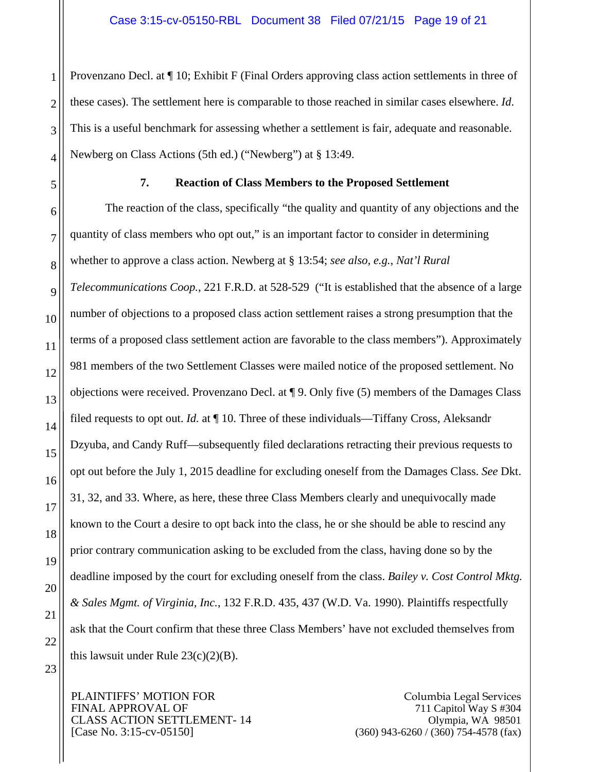2 3 4 Provenzano Decl. at ¶ 10; Exhibit F (Final Orders approving class action settlements in three of these cases). The settlement here is comparable to those reached in similar cases elsewhere. *Id*. This is a useful benchmark for assessing whether a settlement is fair, adequate and reasonable. Newberg on Class Actions (5th ed.) ("Newberg") at § 13:49.

5

6

7

8

9

10

11

12

13

14

15

16

17

18

19

20

21

22

23

1

## **7. Reaction of Class Members to the Proposed Settlement**

The reaction of the class, specifically "the quality and quantity of any objections and the quantity of class members who opt out," is an important factor to consider in determining whether to approve a class action. Newberg at § 13:54; *see also, e.g.*, *Nat'l Rural Telecommunications Coop.*, 221 F.R.D. at 528-529 ("It is established that the absence of a large number of objections to a proposed class action settlement raises a strong presumption that the terms of a proposed class settlement action are favorable to the class members"). Approximately 981 members of the two Settlement Classes were mailed notice of the proposed settlement. No objections were received. Provenzano Decl. at ¶ 9. Only five (5) members of the Damages Class filed requests to opt out. *Id.* at ¶ 10. Three of these individuals—Tiffany Cross, Aleksandr Dzyuba, and Candy Ruff—subsequently filed declarations retracting their previous requests to opt out before the July 1, 2015 deadline for excluding oneself from the Damages Class. *See* Dkt. 31, 32, and 33. Where, as here, these three Class Members clearly and unequivocally made known to the Court a desire to opt back into the class, he or she should be able to rescind any prior contrary communication asking to be excluded from the class, having done so by the deadline imposed by the court for excluding oneself from the class. *Bailey v. Cost Control Mktg. & Sales Mgmt. of Virginia, Inc.*, 132 F.R.D. 435, 437 (W.D. Va. 1990). Plaintiffs respectfully ask that the Court confirm that these three Class Members' have not excluded themselves from this lawsuit under Rule  $23(c)(2)(B)$ .

PLAINTIFFS' MOTION FOR FINAL APPROVAL OF CLASS ACTION SETTLEMENT- 14 [Case No. 3:15-cv-05150]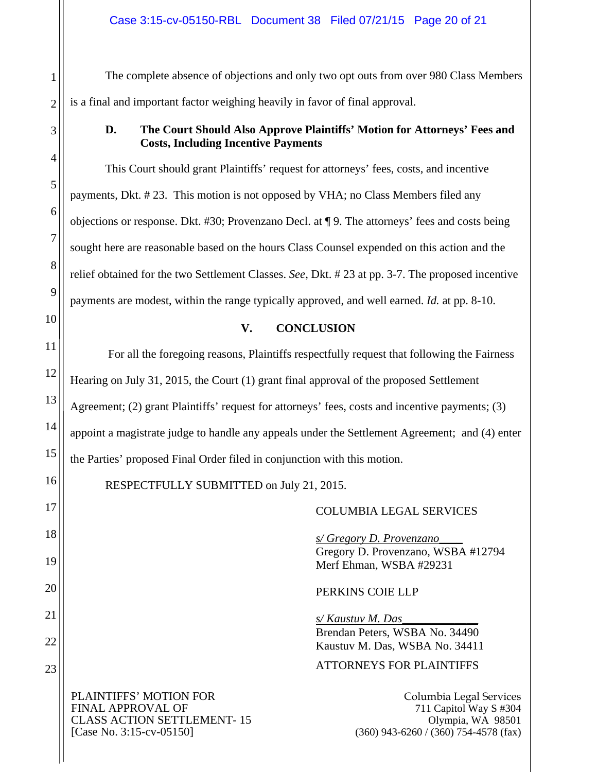The complete absence of objections and only two opt outs from over 980 Class Members is a final and important factor weighing heavily in favor of final approval.

## **D. The Court Should Also Approve Plaintiffs' Motion for Attorneys' Fees and Costs, Including Incentive Payments**

This Court should grant Plaintiffs' request for attorneys' fees, costs, and incentive payments, Dkt. # 23. This motion is not opposed by VHA; no Class Members filed any objections or response. Dkt. #30; Provenzano Decl. at ¶ 9. The attorneys' fees and costs being sought here are reasonable based on the hours Class Counsel expended on this action and the relief obtained for the two Settlement Classes. *See*, Dkt. # 23 at pp. 3-7. The proposed incentive payments are modest, within the range typically approved, and well earned. *Id.* at pp. 8-10.

# **V. CONCLUSION**

 For all the foregoing reasons, Plaintiffs respectfully request that following the Fairness Hearing on July 31, 2015, the Court (1) grant final approval of the proposed Settlement Agreement; (2) grant Plaintiffs' request for attorneys' fees, costs and incentive payments; (3) appoint a magistrate judge to handle any appeals under the Settlement Agreement; and (4) enter the Parties' proposed Final Order filed in conjunction with this motion.

RESPECTFULLY SUBMITTED on July 21, 2015.

COLUMBIA LEGAL SERVICES

*s/ Gregory D. Provenzano\_\_\_\_* Gregory D. Provenzano, WSBA #12794 Merf Ehman, WSBA #29231

PERKINS COIE LLP

*s/ Kaustuv M. Das\_\_\_\_\_\_\_\_\_\_\_\_\_*  Brendan Peters, WSBA No. 34490 Kaustuv M. Das, WSBA No. 34411

ATTORNEYS FOR PLAINTIFFS

PLAINTIFFS' MOTION FOR FINAL APPROVAL OF CLASS ACTION SETTLEMENT- 15 [Case No. 3:15-cv-05150]